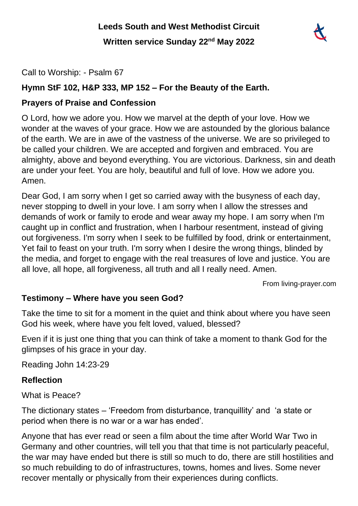

#### Call to Worship: - Psalm 67

## **Hymn StF 102, H&P 333, MP 152 – For the Beauty of the Earth.**

# **Prayers of Praise and Confession**

O Lord, how we adore you. How we marvel at the depth of your love. How we wonder at the waves of your grace. How we are astounded by the glorious balance of the earth. We are in awe of the vastness of the universe. We are so privileged to be called your children. We are accepted and forgiven and embraced. You are almighty, above and beyond everything. You are victorious. Darkness, sin and death are under your feet. You are holy, beautiful and full of love. How we adore you. Amen.

Dear God, I am sorry when I get so carried away with the busyness of each day, never stopping to dwell in your love. I am sorry when I allow the stresses and demands of work or family to erode and wear away my hope. I am sorry when I'm caught up in conflict and frustration, when I harbour resentment, instead of giving out forgiveness. I'm sorry when I seek to be fulfilled by food, drink or entertainment, Yet fail to feast on your truth. I'm sorry when I desire the wrong things, blinded by the media, and forget to engage with the real treasures of love and justice. You are all love, all hope, all forgiveness, all truth and all I really need. Amen.

From living-prayer.com

## **Testimony – Where have you seen God?**

Take the time to sit for a moment in the quiet and think about where you have seen God his week, where have you felt loved, valued, blessed?

Even if it is just one thing that you can think of take a moment to thank God for the glimpses of his grace in your day.

Reading John 14:23-29

## **Reflection**

What is Peace?

The dictionary states – 'Freedom from disturbance, tranquillity' and 'a state or period when there is no war or a war has ended'.

Anyone that has ever read or seen a film about the time after World War Two in Germany and other countries, will tell you that that time is not particularly peaceful, the war may have ended but there is still so much to do, there are still hostilities and so much rebuilding to do of infrastructures, towns, homes and lives. Some never recover mentally or physically from their experiences during conflicts.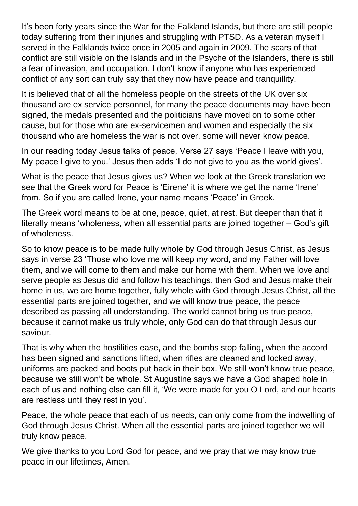It's been forty years since the War for the Falkland Islands, but there are still people today suffering from their injuries and struggling with PTSD. As a veteran myself I served in the Falklands twice once in 2005 and again in 2009. The scars of that conflict are still visible on the Islands and in the Psyche of the Islanders, there is still a fear of invasion, and occupation. I don't know if anyone who has experienced conflict of any sort can truly say that they now have peace and tranquillity.

It is believed that of all the homeless people on the streets of the UK over six thousand are ex service personnel, for many the peace documents may have been signed, the medals presented and the politicians have moved on to some other cause, but for those who are ex-servicemen and women and especially the six thousand who are homeless the war is not over, some will never know peace.

In our reading today Jesus talks of peace, Verse 27 says 'Peace I leave with you, My peace I give to you.' Jesus then adds 'I do not give to you as the world gives'.

What is the peace that Jesus gives us? When we look at the Greek translation we see that the Greek word for Peace is 'Eirene' it is where we get the name 'Irene' from. So if you are called Irene, your name means 'Peace' in Greek.

The Greek word means to be at one, peace, quiet, at rest. But deeper than that it literally means 'wholeness, when all essential parts are joined together – God's gift of wholeness.

So to know peace is to be made fully whole by God through Jesus Christ, as Jesus says in verse 23 'Those who love me will keep my word, and my Father will love them, and we will come to them and make our home with them. When we love and serve people as Jesus did and follow his teachings, then God and Jesus make their home in us, we are home together, fully whole with God through Jesus Christ, all the essential parts are joined together, and we will know true peace, the peace described as passing all understanding. The world cannot bring us true peace, because it cannot make us truly whole, only God can do that through Jesus our saviour.

That is why when the hostilities ease, and the bombs stop falling, when the accord has been signed and sanctions lifted, when rifles are cleaned and locked away, uniforms are packed and boots put back in their box. We still won't know true peace, because we still won't be whole. St Augustine says we have a God shaped hole in each of us and nothing else can fill it, 'We were made for you O Lord, and our hearts are restless until they rest in you'.

Peace, the whole peace that each of us needs, can only come from the indwelling of God through Jesus Christ. When all the essential parts are joined together we will truly know peace.

We give thanks to you Lord God for peace, and we pray that we may know true peace in our lifetimes, Amen.